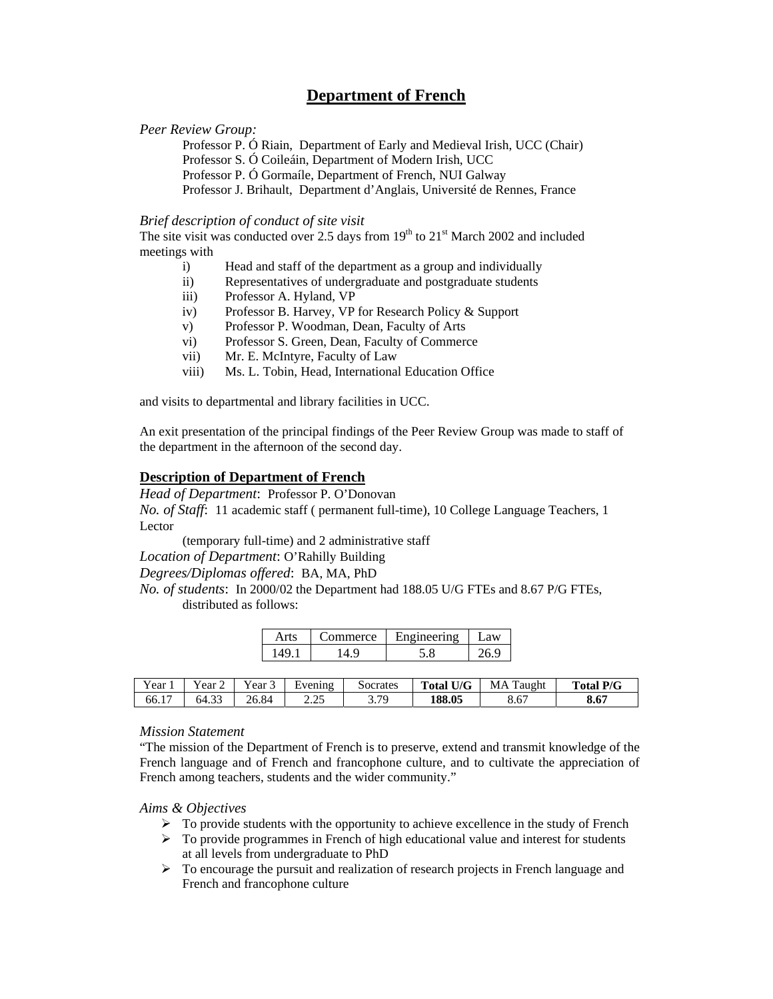# **Department of French**

#### *Peer Review Group:*

Professor P. Ó Riain, Department of Early and Medieval Irish, UCC (Chair) Professor S. Ó Coileáin, Department of Modern Irish, UCC Professor P. Ó Gormaíle, Department of French, NUI Galway Professor J. Brihault, Department d'Anglais, Université de Rennes, France

#### *Brief description of conduct of site visit*

The site visit was conducted over 2.5 days from  $19<sup>th</sup>$  to  $21<sup>st</sup>$  March 2002 and included meetings with

- i) Head and staff of the department as a group and individually
- ii) Representatives of undergraduate and postgraduate students
- iii) Professor A. Hyland, VP
- iv) Professor B. Harvey, VP for Research Policy & Support
- v) Professor P. Woodman, Dean, Faculty of Arts
- vi) Professor S. Green, Dean, Faculty of Commerce
- vii) Mr. E. McIntyre, Faculty of Law
- viii) Ms. L. Tobin, Head, International Education Office

and visits to departmental and library facilities in UCC.

An exit presentation of the principal findings of the Peer Review Group was made to staff of the department in the afternoon of the second day.

# **Description of Department of French**

*Head of Department*: Professor P. O'Donovan *No. of Staff*: 11 academic staff ( permanent full-time), 10 College Language Teachers, 1 Lector

(temporary full-time) and 2 administrative staff

*Location of Department*: O'Rahilly Building

*Degrees/Diplomas offered*: BA, MA, PhD

*No. of students*: In 2000/02 the Department had 188.05 U/G FTEs and 8.67 P/G FTEs, distributed as follows:

| ommerce | Ineern <sub>0</sub> | .9W |
|---------|---------------------|-----|
|         |                     | O   |

| . .<br>Y ear           | ∨ear∠           | ∽<br>ear                   | Evening<br>. .  | Socrates      | <b>Total U/G</b> | MA<br>`aught | l P/G<br>Total. |
|------------------------|-----------------|----------------------------|-----------------|---------------|------------------|--------------|-----------------|
| $\overline{ }$<br>66.1 | $\sim$<br>64.33 | $\epsilon$ <sub>0.84</sub> | 2.25<br>ن کے وک | 3 7Q<br>ر اول | 188.05           | 8.67         | 8.67            |

#### *Mission Statement*

"The mission of the Department of French is to preserve, extend and transmit knowledge of the French language and of French and francophone culture, and to cultivate the appreciation of French among teachers, students and the wider community."

#### *Aims & Objectives*

- $\triangleright$  To provide students with the opportunity to achieve excellence in the study of French
- $\triangleright$  To provide programmes in French of high educational value and interest for students at all levels from undergraduate to PhD
- $\triangleright$  To encourage the pursuit and realization of research projects in French language and French and francophone culture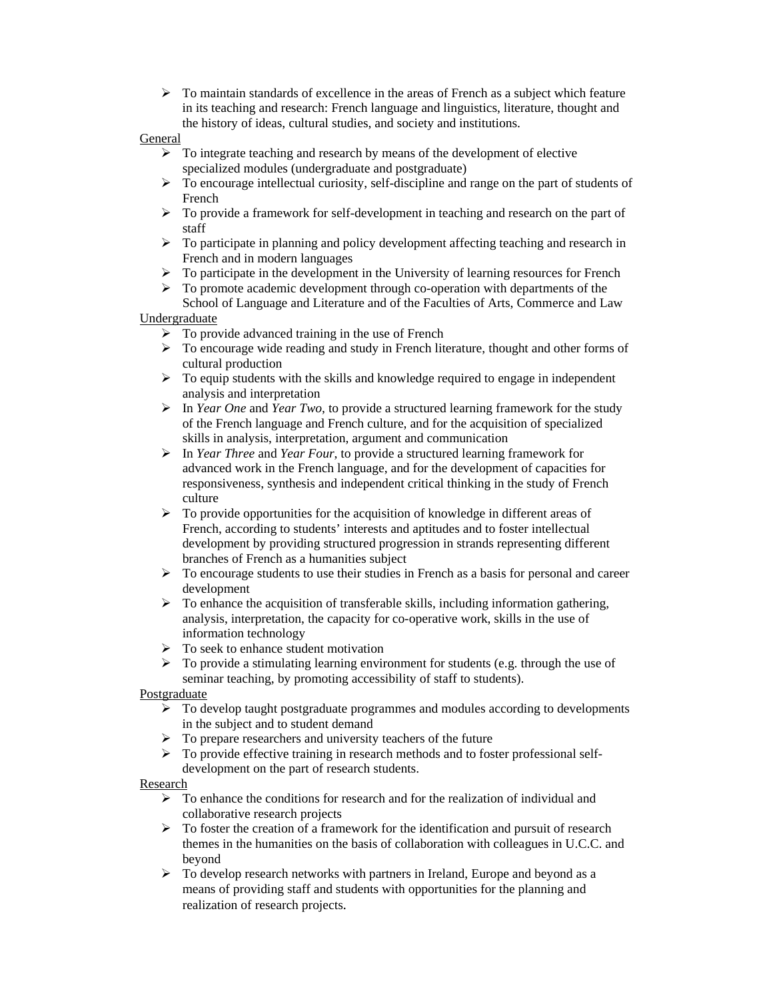$\triangleright$  To maintain standards of excellence in the areas of French as a subject which feature in its teaching and research: French language and linguistics, literature, thought and the history of ideas, cultural studies, and society and institutions.

### **General**

- $\triangleright$  To integrate teaching and research by means of the development of elective specialized modules (undergraduate and postgraduate)
- $\triangleright$  To encourage intellectual curiosity, self-discipline and range on the part of students of French
- $\triangleright$  To provide a framework for self-development in teaching and research on the part of staff
- $\triangleright$  To participate in planning and policy development affecting teaching and research in French and in modern languages
- ¾ To participate in the development in the University of learning resources for French
- ¾ To promote academic development through co-operation with departments of the School of Language and Literature and of the Faculties of Arts, Commerce and Law

## Undergraduate

- $\triangleright$  To provide advanced training in the use of French
- ¾ To encourage wide reading and study in French literature, thought and other forms of cultural production
- $\triangleright$  To equip students with the skills and knowledge required to engage in independent analysis and interpretation
- ¾ In *Year One* and *Year Two*, to provide a structured learning framework for the study of the French language and French culture, and for the acquisition of specialized skills in analysis, interpretation, argument and communication
- ¾ In *Year Three* and *Year Four*, to provide a structured learning framework for advanced work in the French language, and for the development of capacities for responsiveness, synthesis and independent critical thinking in the study of French culture
- $\triangleright$  To provide opportunities for the acquisition of knowledge in different areas of French, according to students' interests and aptitudes and to foster intellectual development by providing structured progression in strands representing different branches of French as a humanities subject
- $\triangleright$  To encourage students to use their studies in French as a basis for personal and career development
- $\triangleright$  To enhance the acquisition of transferable skills, including information gathering, analysis, interpretation, the capacity for co-operative work, skills in the use of information technology
- $\triangleright$  To seek to enhance student motivation
- $\triangleright$  To provide a stimulating learning environment for students (e.g. through the use of seminar teaching, by promoting accessibility of staff to students).

## **Postgraduate**

- $\triangleright$  To develop taught postgraduate programmes and modules according to developments in the subject and to student demand
- $\triangleright$  To prepare researchers and university teachers of the future
- ¾ To provide effective training in research methods and to foster professional selfdevelopment on the part of research students.

## Research

- $\triangleright$  To enhance the conditions for research and for the realization of individual and collaborative research projects
- $\triangleright$  To foster the creation of a framework for the identification and pursuit of research themes in the humanities on the basis of collaboration with colleagues in U.C.C. and beyond
- $\triangleright$  To develop research networks with partners in Ireland, Europe and beyond as a means of providing staff and students with opportunities for the planning and realization of research projects.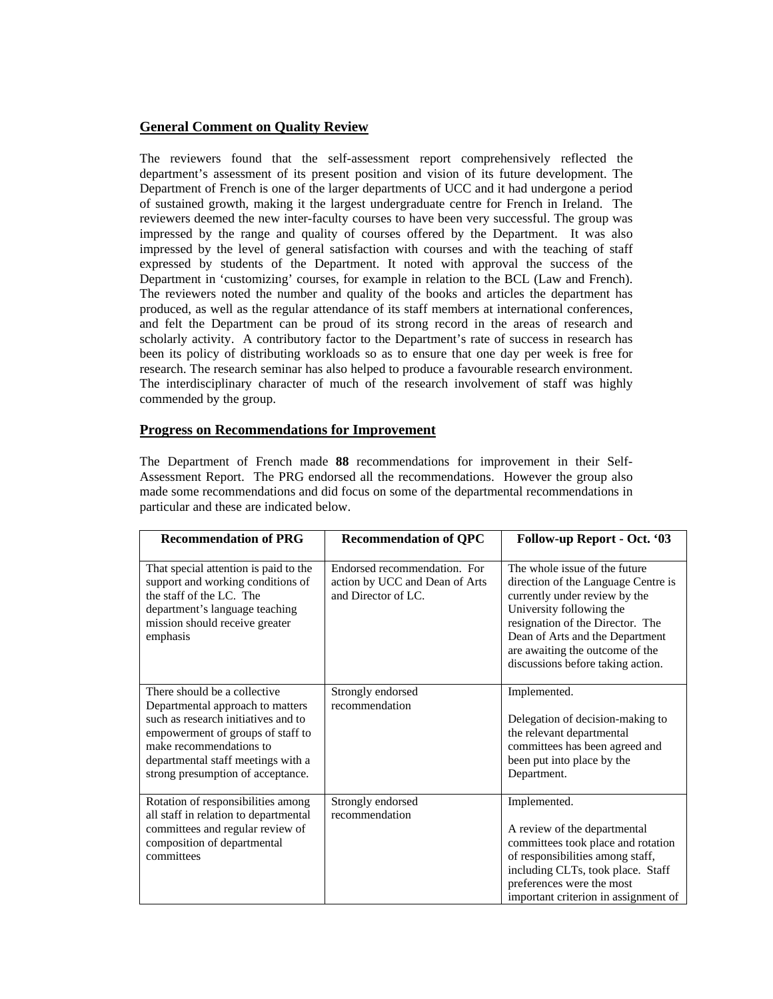# **General Comment on Quality Review**

The reviewers found that the self-assessment report comprehensively reflected the department's assessment of its present position and vision of its future development. The Department of French is one of the larger departments of UCC and it had undergone a period of sustained growth, making it the largest undergraduate centre for French in Ireland. The reviewers deemed the new inter-faculty courses to have been very successful. The group was impressed by the range and quality of courses offered by the Department. It was also impressed by the level of general satisfaction with courses and with the teaching of staff expressed by students of the Department. It noted with approval the success of the Department in 'customizing' courses, for example in relation to the BCL (Law and French). The reviewers noted the number and quality of the books and articles the department has produced, as well as the regular attendance of its staff members at international conferences, and felt the Department can be proud of its strong record in the areas of research and scholarly activity. A contributory factor to the Department's rate of success in research has been its policy of distributing workloads so as to ensure that one day per week is free for research. The research seminar has also helped to produce a favourable research environment. The interdisciplinary character of much of the research involvement of staff was highly commended by the group.

# **Progress on Recommendations for Improvement**

The Department of French made **88** recommendations for improvement in their Self-Assessment Report. The PRG endorsed all the recommendations. However the group also made some recommendations and did focus on some of the departmental recommendations in particular and these are indicated below.

| <b>Recommendation of PRG</b>                                                                                                                                                                                                                       | <b>Recommendation of QPC</b>                                                          | Follow-up Report - Oct. '03                                                                                                                                                                                                                                                      |
|----------------------------------------------------------------------------------------------------------------------------------------------------------------------------------------------------------------------------------------------------|---------------------------------------------------------------------------------------|----------------------------------------------------------------------------------------------------------------------------------------------------------------------------------------------------------------------------------------------------------------------------------|
| That special attention is paid to the<br>support and working conditions of<br>the staff of the LC. The<br>department's language teaching<br>mission should receive greater<br>emphasis                                                             | Endorsed recommendation. For<br>action by UCC and Dean of Arts<br>and Director of LC. | The whole issue of the future<br>direction of the Language Centre is<br>currently under review by the<br>University following the<br>resignation of the Director. The<br>Dean of Arts and the Department<br>are awaiting the outcome of the<br>discussions before taking action. |
| There should be a collective<br>Departmental approach to matters<br>such as research initiatives and to<br>empowerment of groups of staff to<br>make recommendations to<br>departmental staff meetings with a<br>strong presumption of acceptance. | Strongly endorsed<br>recommendation                                                   | Implemented.<br>Delegation of decision-making to<br>the relevant departmental<br>committees has been agreed and<br>been put into place by the<br>Department.                                                                                                                     |
| Rotation of responsibilities among<br>all staff in relation to departmental<br>committees and regular review of<br>composition of departmental<br>committees                                                                                       | Strongly endorsed<br>recommendation                                                   | Implemented.<br>A review of the departmental<br>committees took place and rotation<br>of responsibilities among staff,<br>including CLTs, took place. Staff<br>preferences were the most<br>important criterion in assignment of                                                 |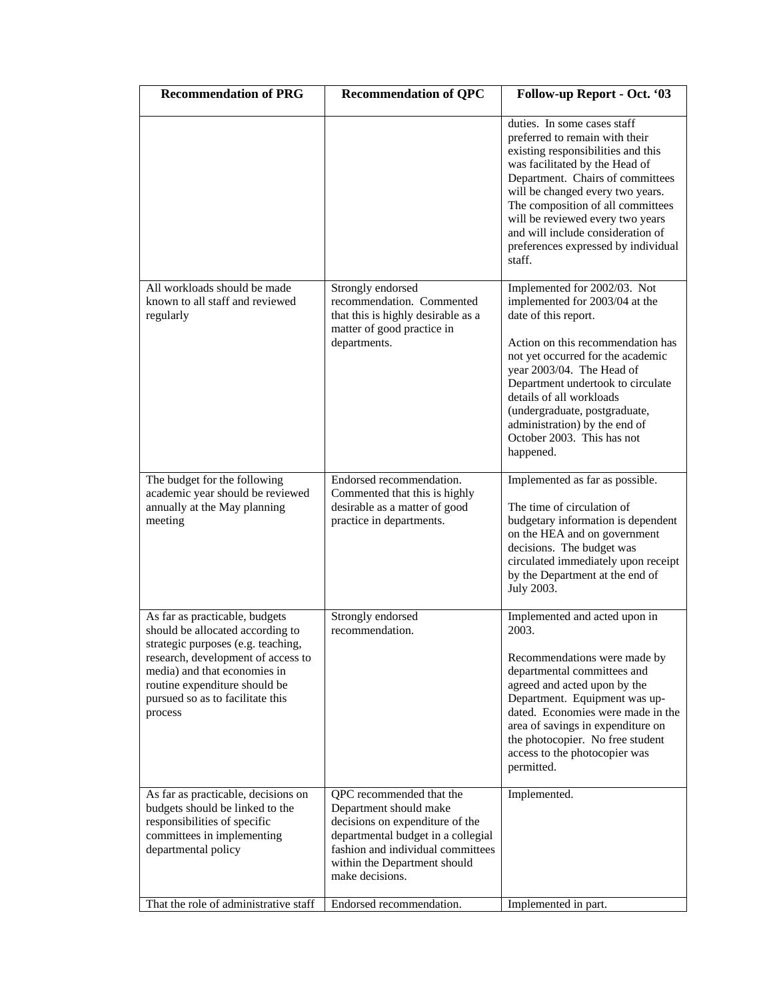| <b>Recommendation of PRG</b>                                                                                                                                                                                                                                   | <b>Recommendation of QPC</b>                                                                                                                                                                                                                    | Follow-up Report - Oct. '03                                                                                                                                                                                                                                                                                                                                                  |
|----------------------------------------------------------------------------------------------------------------------------------------------------------------------------------------------------------------------------------------------------------------|-------------------------------------------------------------------------------------------------------------------------------------------------------------------------------------------------------------------------------------------------|------------------------------------------------------------------------------------------------------------------------------------------------------------------------------------------------------------------------------------------------------------------------------------------------------------------------------------------------------------------------------|
|                                                                                                                                                                                                                                                                |                                                                                                                                                                                                                                                 | duties. In some cases staff<br>preferred to remain with their<br>existing responsibilities and this<br>was facilitated by the Head of<br>Department. Chairs of committees<br>will be changed every two years.<br>The composition of all committees<br>will be reviewed every two years<br>and will include consideration of<br>preferences expressed by individual<br>staff. |
| All workloads should be made<br>known to all staff and reviewed<br>regularly                                                                                                                                                                                   | Strongly endorsed<br>recommendation. Commented<br>that this is highly desirable as a<br>matter of good practice in<br>departments.                                                                                                              | Implemented for 2002/03. Not<br>implemented for 2003/04 at the<br>date of this report.<br>Action on this recommendation has<br>not yet occurred for the academic<br>year 2003/04. The Head of<br>Department undertook to circulate<br>details of all workloads<br>(undergraduate, postgraduate,<br>administration) by the end of<br>October 2003. This has not<br>happened.  |
| The budget for the following<br>academic year should be reviewed<br>annually at the May planning<br>meeting                                                                                                                                                    | Endorsed recommendation.<br>Commented that this is highly<br>desirable as a matter of good<br>practice in departments.                                                                                                                          | Implemented as far as possible.<br>The time of circulation of<br>budgetary information is dependent<br>on the HEA and on government<br>decisions. The budget was<br>circulated immediately upon receipt<br>by the Department at the end of<br>July 2003.                                                                                                                     |
| As far as practicable, budgets<br>should be allocated according to<br>strategic purposes (e.g. teaching,<br>research, development of access to<br>media) and that economies in<br>routine expenditure should be<br>pursued so as to facilitate this<br>process | Strongly endorsed<br>recommendation.                                                                                                                                                                                                            | Implemented and acted upon in<br>2003.<br>Recommendations were made by<br>departmental committees and<br>agreed and acted upon by the<br>Department. Equipment was up-<br>dated. Economies were made in the<br>area of savings in expenditure on<br>the photocopier. No free student<br>access to the photocopier was<br>permitted.                                          |
| As far as practicable, decisions on<br>budgets should be linked to the<br>responsibilities of specific<br>committees in implementing<br>departmental policy<br>That the role of administrative staff                                                           | QPC recommended that the<br>Department should make<br>decisions on expenditure of the<br>departmental budget in a collegial<br>fashion and individual committees<br>within the Department should<br>make decisions.<br>Endorsed recommendation. | Implemented.<br>Implemented in part.                                                                                                                                                                                                                                                                                                                                         |
|                                                                                                                                                                                                                                                                |                                                                                                                                                                                                                                                 |                                                                                                                                                                                                                                                                                                                                                                              |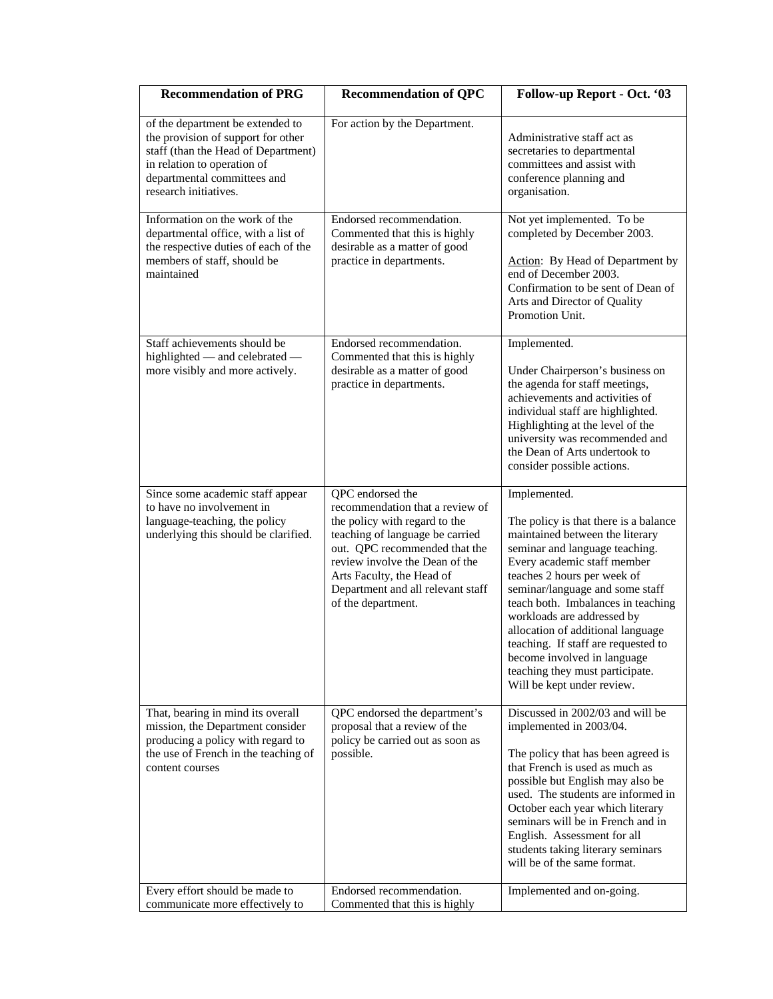| <b>Recommendation of PRG</b>                                                                                                                                                                         | <b>Recommendation of QPC</b>                                                                                                                                                                                                                                                       | Follow-up Report - Oct. '03                                                                                                                                                                                                                                                                                                                                                                                                                                                 |
|------------------------------------------------------------------------------------------------------------------------------------------------------------------------------------------------------|------------------------------------------------------------------------------------------------------------------------------------------------------------------------------------------------------------------------------------------------------------------------------------|-----------------------------------------------------------------------------------------------------------------------------------------------------------------------------------------------------------------------------------------------------------------------------------------------------------------------------------------------------------------------------------------------------------------------------------------------------------------------------|
| of the department be extended to<br>the provision of support for other<br>staff (than the Head of Department)<br>in relation to operation of<br>departmental committees and<br>research initiatives. | For action by the Department.                                                                                                                                                                                                                                                      | Administrative staff act as<br>secretaries to departmental<br>committees and assist with<br>conference planning and<br>organisation.                                                                                                                                                                                                                                                                                                                                        |
| Information on the work of the<br>departmental office, with a list of<br>the respective duties of each of the<br>members of staff, should be<br>maintained                                           | Endorsed recommendation.<br>Commented that this is highly<br>desirable as a matter of good<br>practice in departments.                                                                                                                                                             | Not yet implemented. To be<br>completed by December 2003.<br>Action: By Head of Department by<br>end of December 2003.<br>Confirmation to be sent of Dean of<br>Arts and Director of Quality<br>Promotion Unit.                                                                                                                                                                                                                                                             |
| Staff achievements should be<br>highlighted — and celebrated —<br>more visibly and more actively.                                                                                                    | Endorsed recommendation.<br>Commented that this is highly<br>desirable as a matter of good<br>practice in departments.                                                                                                                                                             | Implemented.<br>Under Chairperson's business on<br>the agenda for staff meetings,<br>achievements and activities of<br>individual staff are highlighted.<br>Highlighting at the level of the<br>university was recommended and<br>the Dean of Arts undertook to<br>consider possible actions.                                                                                                                                                                               |
| Since some academic staff appear<br>to have no involvement in<br>language-teaching, the policy<br>underlying this should be clarified.                                                               | QPC endorsed the<br>recommendation that a review of<br>the policy with regard to the<br>teaching of language be carried<br>out. QPC recommended that the<br>review involve the Dean of the<br>Arts Faculty, the Head of<br>Department and all relevant staff<br>of the department. | Implemented.<br>The policy is that there is a balance<br>maintained between the literary<br>seminar and language teaching.<br>Every academic staff member<br>teaches 2 hours per week of<br>seminar/language and some staff<br>teach both. Imbalances in teaching<br>workloads are addressed by<br>allocation of additional language<br>teaching. If staff are requested to<br>become involved in language<br>teaching they must participate.<br>Will be kept under review. |
| That, bearing in mind its overall<br>mission, the Department consider<br>producing a policy with regard to<br>the use of French in the teaching of<br>content courses                                | QPC endorsed the department's<br>proposal that a review of the<br>policy be carried out as soon as<br>possible.                                                                                                                                                                    | Discussed in 2002/03 and will be<br>implemented in 2003/04.<br>The policy that has been agreed is<br>that French is used as much as<br>possible but English may also be<br>used. The students are informed in<br>October each year which literary<br>seminars will be in French and in<br>English. Assessment for all<br>students taking literary seminars<br>will be of the same format.                                                                                   |
| Every effort should be made to<br>communicate more effectively to                                                                                                                                    | Endorsed recommendation.<br>Commented that this is highly                                                                                                                                                                                                                          | Implemented and on-going.                                                                                                                                                                                                                                                                                                                                                                                                                                                   |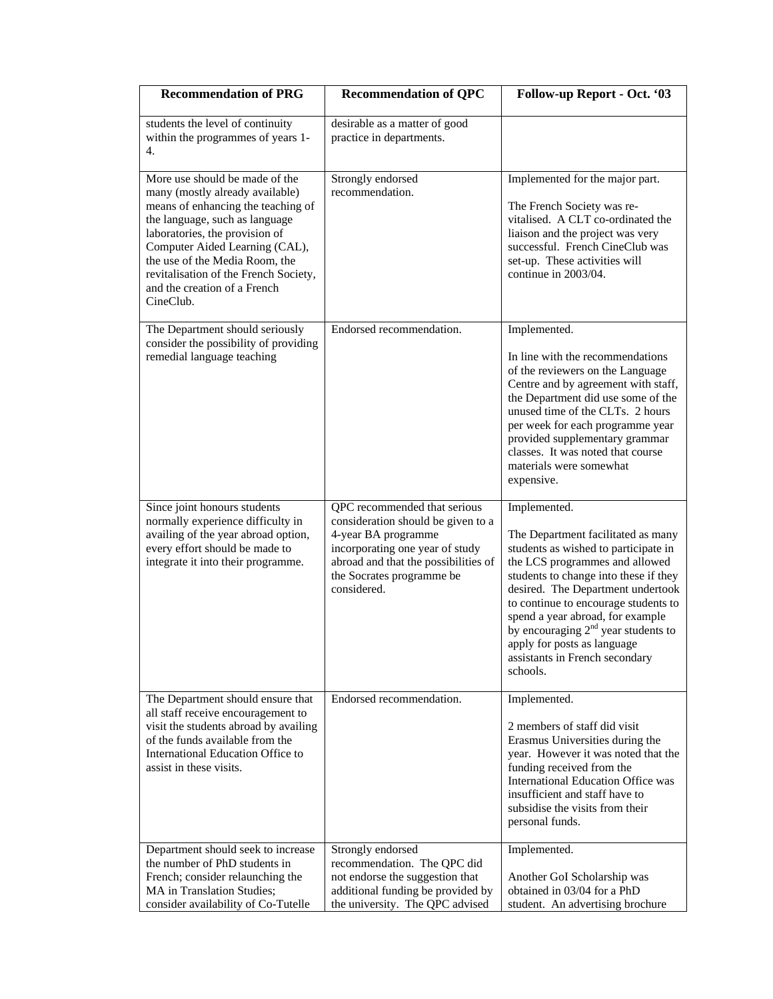| <b>Recommendation of PRG</b>                                                                                                                                                                                                                                                                                                          | <b>Recommendation of QPC</b>                                                                                                                                                                                     | Follow-up Report - Oct. '03                                                                                                                                                                                                                                                                                                                                                                                  |
|---------------------------------------------------------------------------------------------------------------------------------------------------------------------------------------------------------------------------------------------------------------------------------------------------------------------------------------|------------------------------------------------------------------------------------------------------------------------------------------------------------------------------------------------------------------|--------------------------------------------------------------------------------------------------------------------------------------------------------------------------------------------------------------------------------------------------------------------------------------------------------------------------------------------------------------------------------------------------------------|
| students the level of continuity<br>within the programmes of years 1-<br>4.                                                                                                                                                                                                                                                           | desirable as a matter of good<br>practice in departments.                                                                                                                                                        |                                                                                                                                                                                                                                                                                                                                                                                                              |
| More use should be made of the<br>many (mostly already available)<br>means of enhancing the teaching of<br>the language, such as language<br>laboratories, the provision of<br>Computer Aided Learning (CAL),<br>the use of the Media Room, the<br>revitalisation of the French Society,<br>and the creation of a French<br>CineClub. | Strongly endorsed<br>recommendation.                                                                                                                                                                             | Implemented for the major part.<br>The French Society was re-<br>vitalised. A CLT co-ordinated the<br>liaison and the project was very<br>successful. French CineClub was<br>set-up. These activities will<br>continue in 2003/04.                                                                                                                                                                           |
| The Department should seriously<br>consider the possibility of providing<br>remedial language teaching                                                                                                                                                                                                                                | Endorsed recommendation.                                                                                                                                                                                         | Implemented.<br>In line with the recommendations<br>of the reviewers on the Language<br>Centre and by agreement with staff,<br>the Department did use some of the<br>unused time of the CLTs. 2 hours<br>per week for each programme year<br>provided supplementary grammar<br>classes. It was noted that course<br>materials were somewhat<br>expensive.                                                    |
| Since joint honours students<br>normally experience difficulty in<br>availing of the year abroad option,<br>every effort should be made to<br>integrate it into their programme.                                                                                                                                                      | QPC recommended that serious<br>consideration should be given to a<br>4-year BA programme<br>incorporating one year of study<br>abroad and that the possibilities of<br>the Socrates programme be<br>considered. | Implemented.<br>The Department facilitated as many<br>students as wished to participate in<br>the LCS programmes and allowed<br>students to change into these if they<br>desired. The Department undertook<br>to continue to encourage students to<br>spend a year abroad, for example<br>by encouraging $2nd$ year students to<br>apply for posts as language<br>assistants in French secondary<br>schools. |
| The Department should ensure that<br>all staff receive encouragement to<br>visit the students abroad by availing<br>of the funds available from the<br>International Education Office to<br>assist in these visits.                                                                                                                   | Endorsed recommendation.                                                                                                                                                                                         | Implemented.<br>2 members of staff did visit<br>Erasmus Universities during the<br>year. However it was noted that the<br>funding received from the<br><b>International Education Office was</b><br>insufficient and staff have to<br>subsidise the visits from their<br>personal funds.                                                                                                                     |
| Department should seek to increase<br>the number of PhD students in<br>French; consider relaunching the<br>MA in Translation Studies;<br>consider availability of Co-Tutelle                                                                                                                                                          | Strongly endorsed<br>recommendation. The QPC did<br>not endorse the suggestion that<br>additional funding be provided by<br>the university. The QPC advised                                                      | Implemented.<br>Another GoI Scholarship was<br>obtained in 03/04 for a PhD<br>student. An advertising brochure                                                                                                                                                                                                                                                                                               |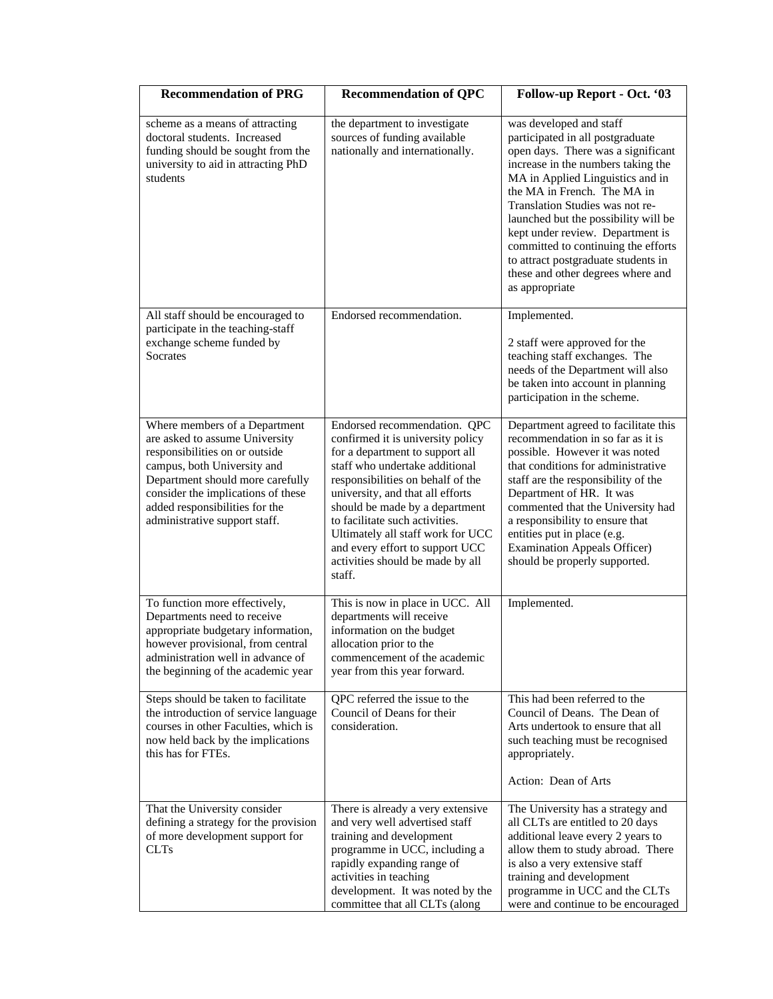| <b>Recommendation of PRG</b>                                                                                                                                                                                                                                                  | <b>Recommendation of QPC</b>                                                                                                                                                                                                                                                                                                                                                                              | Follow-up Report - Oct. '03                                                                                                                                                                                                                                                                                                                                                                                                                                    |
|-------------------------------------------------------------------------------------------------------------------------------------------------------------------------------------------------------------------------------------------------------------------------------|-----------------------------------------------------------------------------------------------------------------------------------------------------------------------------------------------------------------------------------------------------------------------------------------------------------------------------------------------------------------------------------------------------------|----------------------------------------------------------------------------------------------------------------------------------------------------------------------------------------------------------------------------------------------------------------------------------------------------------------------------------------------------------------------------------------------------------------------------------------------------------------|
| scheme as a means of attracting<br>doctoral students. Increased<br>funding should be sought from the<br>university to aid in attracting PhD<br>students                                                                                                                       | the department to investigate<br>sources of funding available<br>nationally and internationally.                                                                                                                                                                                                                                                                                                          | was developed and staff<br>participated in all postgraduate<br>open days. There was a significant<br>increase in the numbers taking the<br>MA in Applied Linguistics and in<br>the MA in French. The MA in<br>Translation Studies was not re-<br>launched but the possibility will be<br>kept under review. Department is<br>committed to continuing the efforts<br>to attract postgraduate students in<br>these and other degrees where and<br>as appropriate |
| All staff should be encouraged to<br>participate in the teaching-staff<br>exchange scheme funded by<br>Socrates                                                                                                                                                               | Endorsed recommendation.                                                                                                                                                                                                                                                                                                                                                                                  | Implemented.<br>2 staff were approved for the<br>teaching staff exchanges. The<br>needs of the Department will also<br>be taken into account in planning<br>participation in the scheme.                                                                                                                                                                                                                                                                       |
| Where members of a Department<br>are asked to assume University<br>responsibilities on or outside<br>campus, both University and<br>Department should more carefully<br>consider the implications of these<br>added responsibilities for the<br>administrative support staff. | Endorsed recommendation. QPC<br>confirmed it is university policy<br>for a department to support all<br>staff who undertake additional<br>responsibilities on behalf of the<br>university, and that all efforts<br>should be made by a department<br>to facilitate such activities.<br>Ultimately all staff work for UCC<br>and every effort to support UCC<br>activities should be made by all<br>staff. | Department agreed to facilitate this<br>recommendation in so far as it is<br>possible. However it was noted<br>that conditions for administrative<br>staff are the responsibility of the<br>Department of HR. It was<br>commented that the University had<br>a responsibility to ensure that<br>entities put in place (e.g.<br><b>Examination Appeals Officer)</b><br>should be properly supported.                                                            |
| To function more effectively,<br>Departments need to receive<br>appropriate budgetary information,<br>however provisional, from central<br>administration well in advance of<br>the beginning of the academic year                                                            | This is now in place in UCC. All<br>departments will receive<br>information on the budget<br>allocation prior to the<br>commencement of the academic<br>year from this year forward.                                                                                                                                                                                                                      | Implemented.                                                                                                                                                                                                                                                                                                                                                                                                                                                   |
| Steps should be taken to facilitate<br>the introduction of service language<br>courses in other Faculties, which is<br>now held back by the implications<br>this has for FTEs.                                                                                                | QPC referred the issue to the<br>Council of Deans for their<br>consideration.                                                                                                                                                                                                                                                                                                                             | This had been referred to the<br>Council of Deans. The Dean of<br>Arts undertook to ensure that all<br>such teaching must be recognised<br>appropriately.<br>Action: Dean of Arts                                                                                                                                                                                                                                                                              |
| That the University consider<br>defining a strategy for the provision<br>of more development support for<br><b>CLTs</b>                                                                                                                                                       | There is already a very extensive<br>and very well advertised staff<br>training and development<br>programme in UCC, including a<br>rapidly expanding range of<br>activities in teaching<br>development. It was noted by the<br>committee that all CLTs (along                                                                                                                                            | The University has a strategy and<br>all CLTs are entitled to 20 days<br>additional leave every 2 years to<br>allow them to study abroad. There<br>is also a very extensive staff<br>training and development<br>programme in UCC and the CLTs<br>were and continue to be encouraged                                                                                                                                                                           |